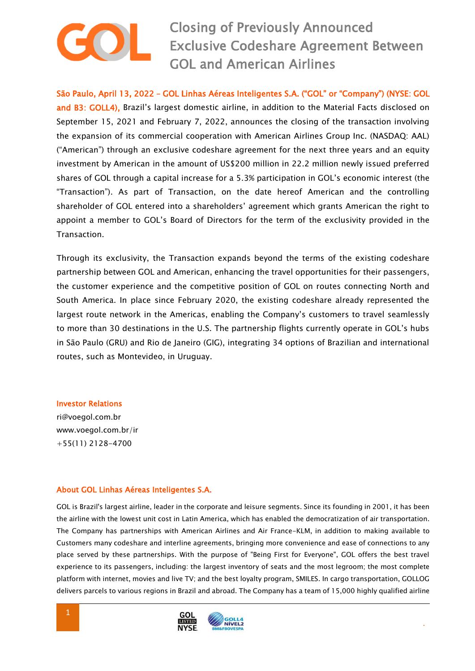Closing of Previously Announced Exclusive Codeshare Agreement Between GOL and American Airlines

São Paulo, April 13, 2022 – GOL Linhas Aéreas Inteligentes S.A. ("GOL" or "Company") (NYSE: GOL and B3: GOLL4), Brazil's largest domestic airline, in addition to the Material Facts disclosed on September 15, 2021 and February 7, 2022, announces the closing of the transaction involving the expansion of its commercial cooperation with American Airlines Group Inc. (NASDAQ: AAL) ("American") through an exclusive codeshare agreement for the next three years and an equity investment by American in the amount of US\$200 million in 22.2 million newly issued preferred shares of GOL through a capital increase for a 5.3% participation in GOL's economic interest (the "Transaction"). As part of Transaction, on the date hereof American and the controlling shareholder of GOL entered into a shareholders' agreement which grants American the right to appoint a member to GOL's Board of Directors for the term of the exclusivity provided in the Transaction.

Through its exclusivity, the Transaction expands beyond the terms of the existing codeshare partnership between GOL and American, enhancing the travel opportunities for their passengers, the customer experience and the competitive position of GOL on routes connecting North and South America. In place since February 2020, the existing codeshare already represented the largest route network in the Americas, enabling the Company's customers to travel seamlessly to more than 30 destinations in the U.S. The partnership flights currently operate in GOL's hubs in São Paulo (GRU) and Rio de Janeiro (GIG), integrating 34 options of Brazilian and international routes, such as Montevideo, in Uruguay.

Investor Relations

ri@voegol.com.br www.voegol.com.br/ir +55(11) 2128-4700

## About GOL Linhas Aéreas Inteligentes S.A.

GOL is Brazil's largest airline, leader in the corporate and leisure segments. Since its founding in 2001, it has been the airline with the lowest unit cost in Latin America, which has enabled the democratization of air transportation. The Company has partnerships with American Airlines and Air France-KLM, in addition to making available to Customers many codeshare and interline agreements, bringing more convenience and ease of connections to any place served by these partnerships. With the purpose of "Being First for Everyone", GOL offers the best travel experience to its passengers, including: the largest inventory of seats and the most legroom; the most complete platform with internet, movies and live TV; and the best loyalty program, SMILES. In cargo transportation, GOLLOG delivers parcels to various regions in Brazil and abroad. The Company has a team of 15,000 highly qualified airline